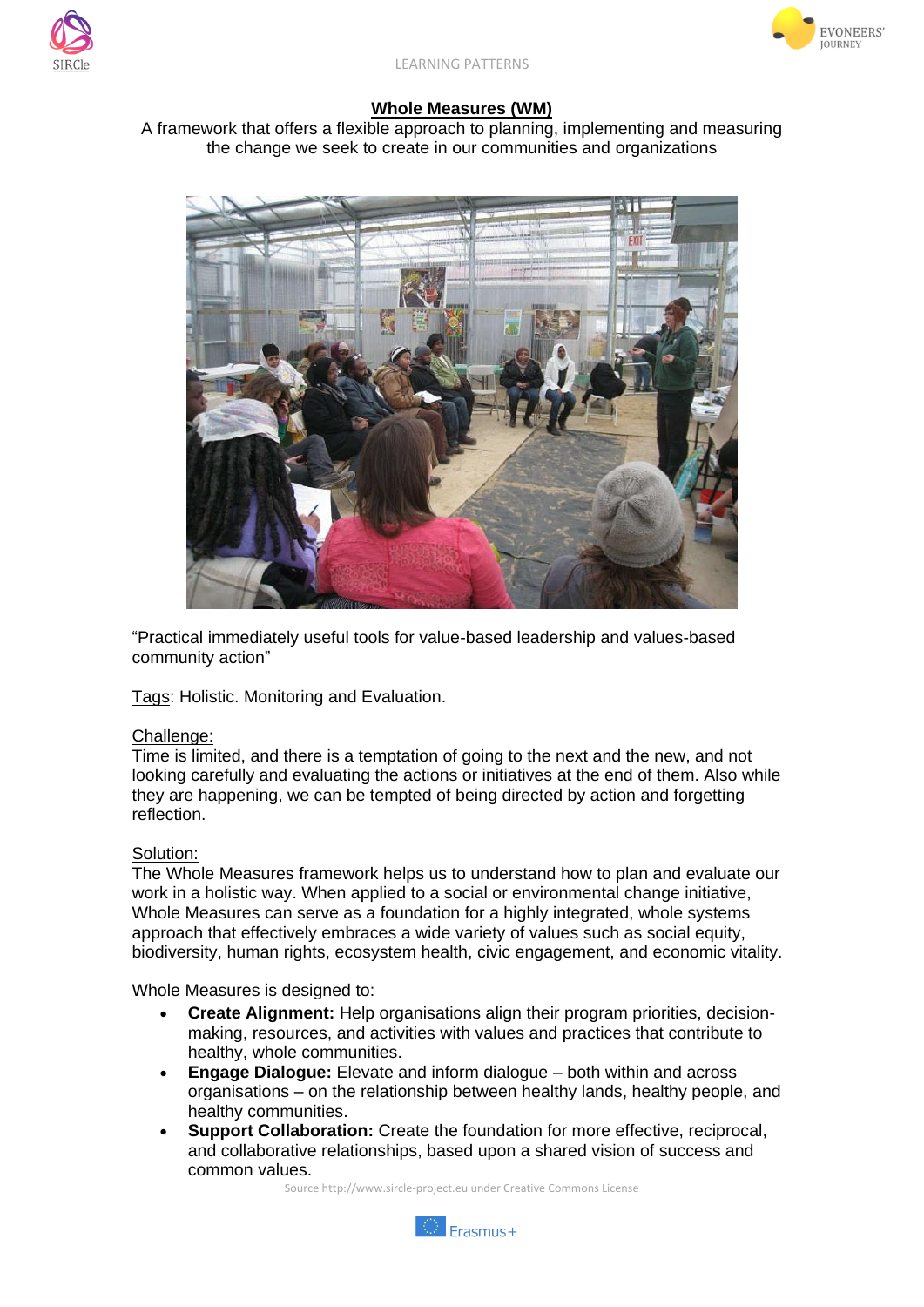



## **Whole Measures (WM)**

A framework that offers a flexible approach to planning, implementing and measuring the change we seek to create in our communities and organizations



"Practical immediately useful tools for value-based leadership and values-based community action"

Tags: Holistic. Monitoring and Evaluation.

## Challenge:

Time is limited, and there is a temptation of going to the next and the new, and not looking carefully and evaluating the actions or initiatives at the end of them. Also while they are happening, we can be tempted of being directed by action and forgetting reflection.

## Solution:

The Whole Measures framework helps us to understand how to plan and evaluate our work in a holistic way. When applied to a social or environmental change initiative, Whole Measures can serve as a foundation for a highly integrated, whole systems approach that effectively embraces a wide variety of values such as social equity, biodiversity, human rights, ecosystem health, civic engagement, and economic vitality.

Whole Measures is designed to:

- **Create Alignment:** Help organisations align their program priorities, decisionmaking, resources, and activities with values and practices that contribute to healthy, whole communities.
- **Engage Dialogue:** Elevate and inform dialogue both within and across organisations – on the relationship between healthy lands, healthy people, and healthy communities.
- **Support Collaboration:** Create the foundation for more effective, reciprocal, and collaborative relationships, based upon a shared vision of success and common values.

Source http://www.sircle-project.eu under Creative Commons License